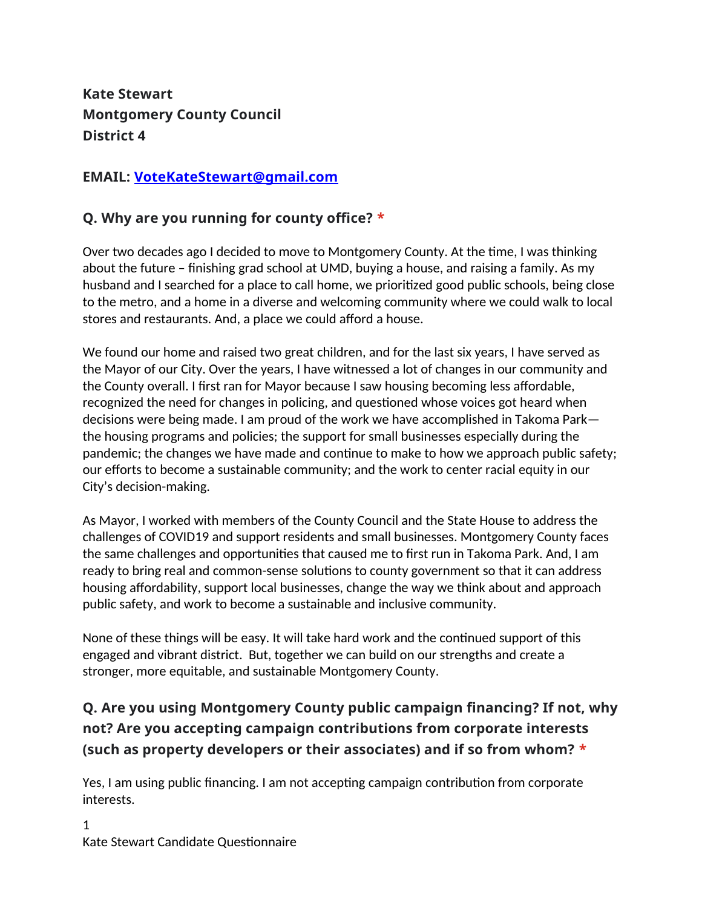**Kate Stewart Montgomery County Council District 4**

#### **EMAIL: [VoteKateStewart@gmail.com](mailto:VoteKateStewart@gmail.com)**

#### **Q. Why are you running for county office? \***

Over two decades ago I decided to move to Montgomery County. At the time, I was thinking about the future – finishing grad school at UMD, buying a house, and raising a family. As my husband and I searched for a place to call home, we prioritized good public schools, being close to the metro, and a home in a diverse and welcoming community where we could walk to local stores and restaurants. And, a place we could afford a house.

We found our home and raised two great children, and for the last six years, I have served as the Mayor of our City. Over the years, I have witnessed a lot of changes in our community and the County overall. I first ran for Mayor because I saw housing becoming less affordable, recognized the need for changes in policing, and questioned whose voices got heard when decisions were being made. I am proud of the work we have accomplished in Takoma Park the housing programs and policies; the support for small businesses especially during the pandemic; the changes we have made and continue to make to how we approach public safety; our efforts to become a sustainable community; and the work to center racial equity in our City's decision-making.

As Mayor, I worked with members of the County Council and the State House to address the challenges of COVID19 and support residents and small businesses. Montgomery County faces the same challenges and opportunities that caused me to first run in Takoma Park. And, I am ready to bring real and common-sense solutions to county government so that it can address housing affordability, support local businesses, change the way we think about and approach public safety, and work to become a sustainable and inclusive community.

None of these things will be easy. It will take hard work and the continued support of this engaged and vibrant district. But, together we can build on our strengths and create a stronger, more equitable, and sustainable Montgomery County.

# **Q. Are you using Montgomery County public campaign financing? If not, why not? Are you accepting campaign contributions from corporate interests (such as property developers or their associates) and if so from whom? \***

Yes, I am using public financing. I am not accepting campaign contribution from corporate interests.

1 Kate Stewart Candidate Questionnaire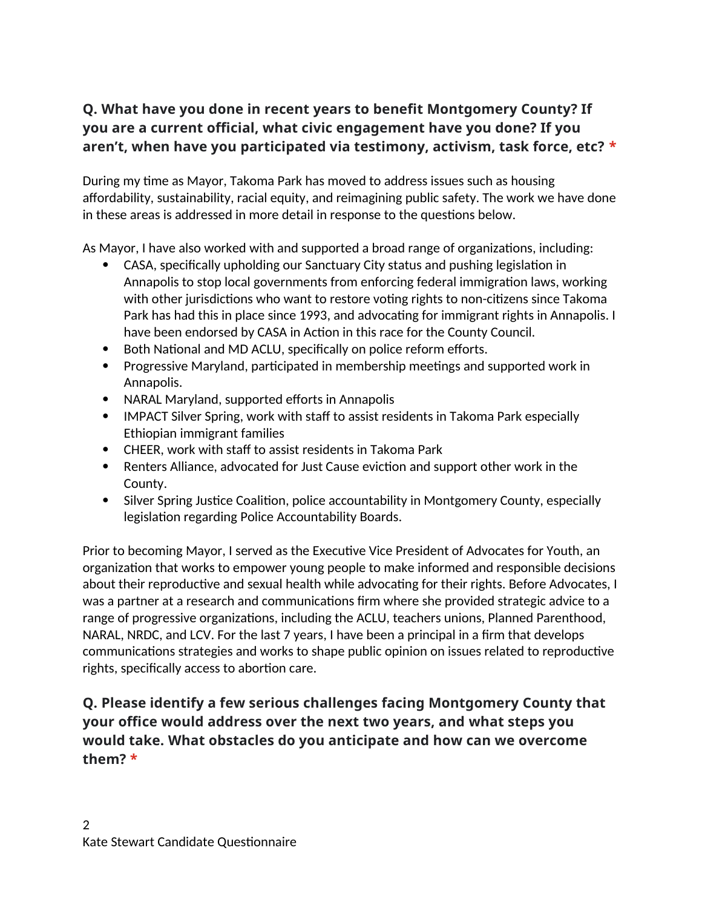# **Q. What have you done in recent years to benefit Montgomery County? If you are a current official, what civic engagement have you done? If you aren't, when have you participated via testimony, activism, task force, etc? \***

During my time as Mayor, Takoma Park has moved to address issues such as housing affordability, sustainability, racial equity, and reimagining public safety. The work we have done in these areas is addressed in more detail in response to the questions below.

As Mayor, I have also worked with and supported a broad range of organizations, including:

- CASA, specifically upholding our Sanctuary City status and pushing legislation in Annapolis to stop local governments from enforcing federal immigration laws, working with other jurisdictions who want to restore voting rights to non-citizens since Takoma Park has had this in place since 1993, and advocating for immigrant rights in Annapolis. I have been endorsed by CASA in Action in this race for the County Council.
- Both National and MD ACLU, specifically on police reform efforts.
- Progressive Maryland, participated in membership meetings and supported work in Annapolis.
- NARAL Maryland, supported efforts in Annapolis
- IMPACT Silver Spring, work with staff to assist residents in Takoma Park especially Ethiopian immigrant families
- CHEER, work with staff to assist residents in Takoma Park
- Renters Alliance, advocated for Just Cause eviction and support other work in the County.
- Silver Spring Justice Coalition, police accountability in Montgomery County, especially legislation regarding Police Accountability Boards.

Prior to becoming Mayor, I served as the Executive Vice President of Advocates for Youth, an organization that works to empower young people to make informed and responsible decisions about their reproductive and sexual health while advocating for their rights. Before Advocates, I was a partner at a research and communications firm where she provided strategic advice to a range of progressive organizations, including the ACLU, teachers unions, Planned Parenthood, NARAL, NRDC, and LCV. For the last 7 years, I have been a principal in a firm that develops communications strategies and works to shape public opinion on issues related to reproductive rights, specifically access to abortion care.

**Q. Please identify a few serious challenges facing Montgomery County that your office would address over the next two years, and what steps you would take. What obstacles do you anticipate and how can we overcome them? \***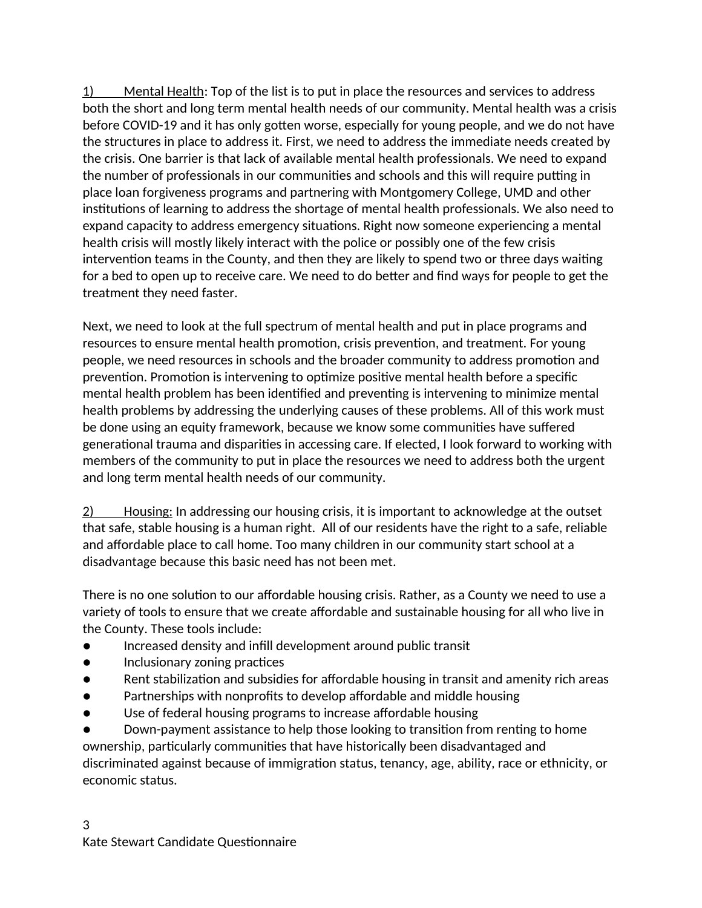1) Mental Health: Top of the list is to put in place the resources and services to address both the short and long term mental health needs of our community. Mental health was a crisis before COVID-19 and it has only gotten worse, especially for young people, and we do not have the structures in place to address it. First, we need to address the immediate needs created by the crisis. One barrier is that lack of available mental health professionals. We need to expand the number of professionals in our communities and schools and this will require putting in place loan forgiveness programs and partnering with Montgomery College, UMD and other institutions of learning to address the shortage of mental health professionals. We also need to expand capacity to address emergency situations. Right now someone experiencing a mental health crisis will mostly likely interact with the police or possibly one of the few crisis intervention teams in the County, and then they are likely to spend two or three days waiting for a bed to open up to receive care. We need to do better and find ways for people to get the treatment they need faster.

Next, we need to look at the full spectrum of mental health and put in place programs and resources to ensure mental health promotion, crisis prevention, and treatment. For young people, we need resources in schools and the broader community to address promotion and prevention. Promotion is intervening to optimize positive mental health before a specific mental health problem has been identified and preventing is intervening to minimize mental health problems by addressing the underlying causes of these problems. All of this work must be done using an equity framework, because we know some communities have suffered generational trauma and disparities in accessing care. If elected, I look forward to working with members of the community to put in place the resources we need to address both the urgent and long term mental health needs of our community.

 2) Housing: In addressing our housing crisis, it is important to acknowledge at the outset that safe, stable housing is a human right. All of our residents have the right to a safe, reliable and affordable place to call home. Too many children in our community start school at a disadvantage because this basic need has not been met.

There is no one solution to our affordable housing crisis. Rather, as a County we need to use a variety of tools to ensure that we create affordable and sustainable housing for all who live in the County. These tools include:

- Increased density and infill development around public transit
- Inclusionary zoning practices
- Rent stabilization and subsidies for affordable housing in transit and amenity rich areas
- Partnerships with nonprofits to develop affordable and middle housing
- Use of federal housing programs to increase affordable housing

Down-payment assistance to help those looking to transition from renting to home ownership, particularly communities that have historically been disadvantaged and discriminated against because of immigration status, tenancy, age, ability, race or ethnicity, or economic status.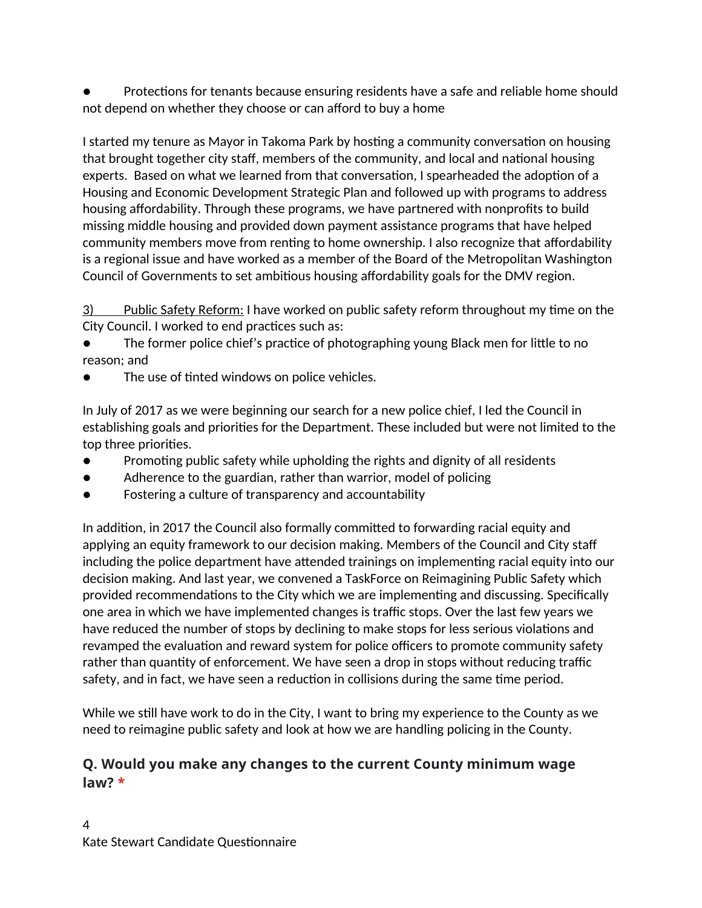Protections for tenants because ensuring residents have a safe and reliable home should not depend on whether they choose or can afford to buy a home

I started my tenure as Mayor in Takoma Park by hosting a community conversation on housing that brought together city staff, members of the community, and local and national housing experts. Based on what we learned from that conversation, I spearheaded the adoption of a Housing and Economic Development Strategic Plan and followed up with programs to address housing affordability. Through these programs, we have partnered with nonprofits to build missing middle housing and provided down payment assistance programs that have helped community members move from renting to home ownership. I also recognize that affordability is a regional issue and have worked as a member of the Board of the Metropolitan Washington Council of Governments to set ambitious housing affordability goals for the DMV region.

 3) Public Safety Reform: I have worked on public safety reform throughout my time on the City Council. I worked to end practices such as:

The former police chief's practice of photographing young Black men for little to no reason; and

The use of tinted windows on police vehicles.

In July of 2017 as we were beginning our search for a new police chief, I led the Council in establishing goals and priorities for the Department. These included but were not limited to the top three priorities.

- Promoting public safety while upholding the rights and dignity of all residents
- Adherence to the guardian, rather than warrior, model of policing
- Fostering a culture of transparency and accountability

In addition, in 2017 the Council also formally committed to forwarding racial equity and applying an equity framework to our decision making. Members of the Council and City staff including the police department have attended trainings on implementing racial equity into our decision making. And last year, we convened a TaskForce on Reimagining Public Safety which provided recommendations to the City which we are implementing and discussing. Specifically one area in which we have implemented changes is traffic stops. Over the last few years we have reduced the number of stops by declining to make stops for less serious violations and revamped the evaluation and reward system for police officers to promote community safety rather than quantity of enforcement. We have seen a drop in stops without reducing traffic safety, and in fact, we have seen a reduction in collisions during the same time period.

While we still have work to do in the City, I want to bring my experience to the County as we need to reimagine public safety and look at how we are handling policing in the County.

#### **Q. Would you make any changes to the current County minimum wage law? \***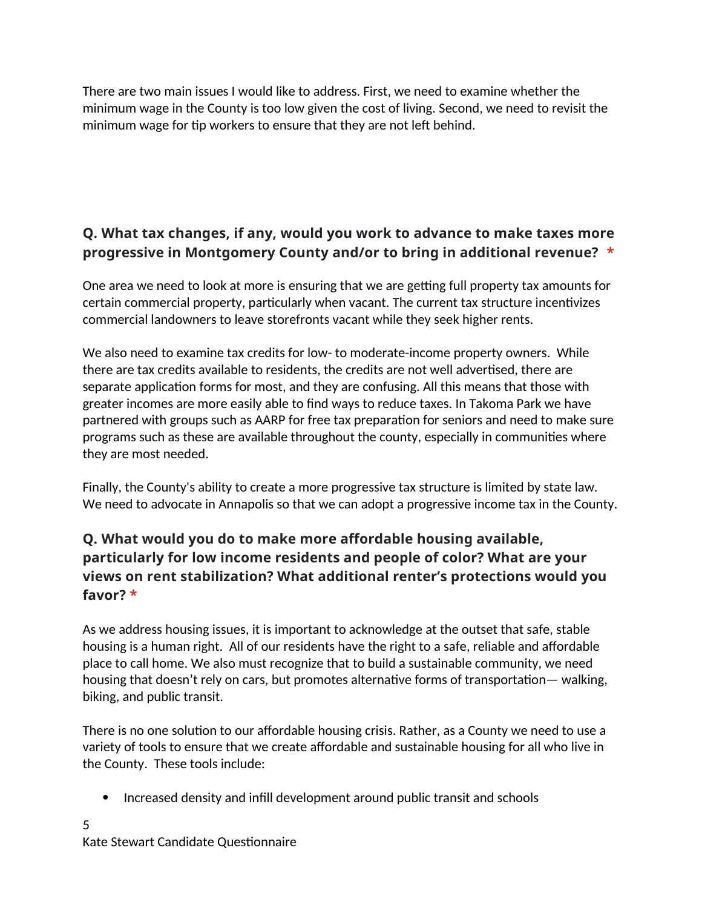There are two main issues I would like to address. First, we need to examine whether the minimum wage in the County is too low given the cost of living. Second, we need to revisit the minimum wage for tip workers to ensure that they are not left behind.

## **Q. What tax changes, if any, would you work to advance to make taxes more progressive in Montgomery County and/or to bring in additional revenue? \***

One area we need to look at more is ensuring that we are getting full property tax amounts for certain commercial property, particularly when vacant. The current tax structure incentivizes commercial landowners to leave storefronts vacant while they seek higher rents.

We also need to examine tax credits for low- to moderate-income property owners. While there are tax credits available to residents, the credits are not well advertised, there are separate application forms for most, and they are confusing. All this means that those with greater incomes are more easily able to find ways to reduce taxes. In Takoma Park we have partnered with groups such as AARP for free tax preparation for seniors and need to make sure programs such as these are available throughout the county, especially in communities where they are most needed.

Finally, the County's ability to create a more progressive tax structure is limited by state law. We need to advocate in Annapolis so that we can adopt a progressive income tax in the County.

# **Q. What would you do to make more affordable housing available, particularly for low income residents and people of color? What are your views on rent stabilization? What additional renter's protections would you favor? \***

As we address housing issues, it is important to acknowledge at the outset that safe, stable housing is a human right. All of our residents have the right to a safe, reliable and affordable place to call home. We also must recognize that to build a sustainable community, we need housing that doesn't rely on cars, but promotes alternative forms of transportation— walking, biking, and public transit.

There is no one solution to our affordable housing crisis. Rather, as a County we need to use a variety of tools to ensure that we create affordable and sustainable housing for all who live in the County. These tools include:

Increased density and infill development around public transit and schools

5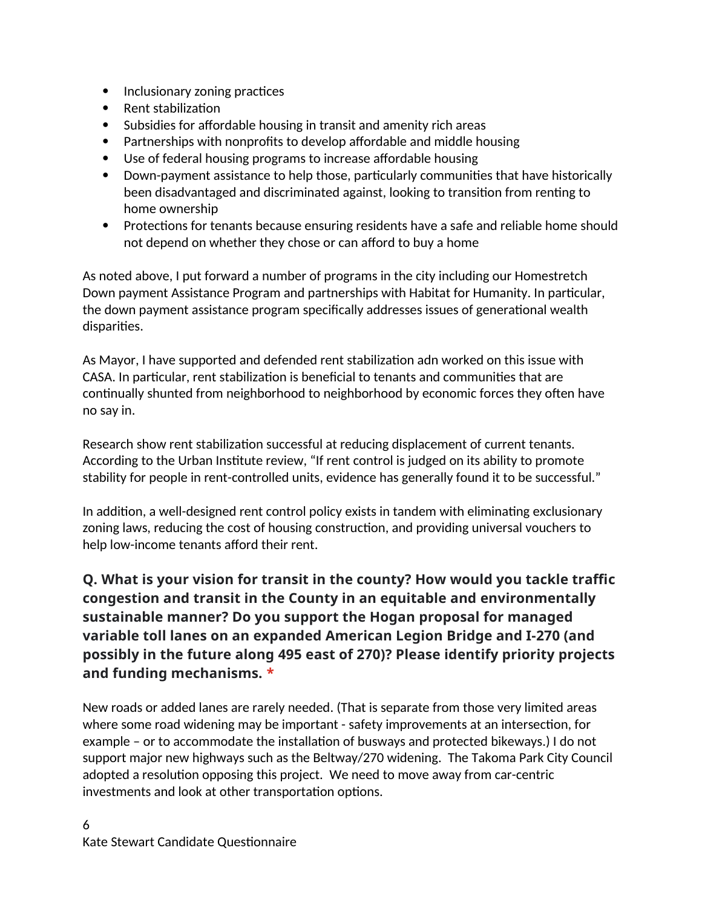- Inclusionary zoning practices
- Rent stabilization
- Subsidies for affordable housing in transit and amenity rich areas
- Partnerships with nonprofits to develop affordable and middle housing
- Use of federal housing programs to increase affordable housing
- Down-payment assistance to help those, particularly communities that have historically been disadvantaged and discriminated against, looking to transition from renting to home ownership
- Protections for tenants because ensuring residents have a safe and reliable home should not depend on whether they chose or can afford to buy a home

As noted above, I put forward a number of programs in the city including our Homestretch Down payment Assistance Program and partnerships with Habitat for Humanity. In particular, the down payment assistance program specifically addresses issues of generational wealth disparities.

As Mayor, I have supported and defended rent stabilization adn worked on this issue with CASA. In particular, rent stabilization is beneficial to tenants and communities that are continually shunted from neighborhood to neighborhood by economic forces they often have no say in.

Research show rent stabilization successful at reducing displacement of current tenants. According to the Urban Institute review, "If rent control is judged on its ability to promote stability for people in rent-controlled units, evidence has generally found it to be successful."

In addition, a well-designed rent control policy exists in tandem with eliminating exclusionary zoning laws, reducing the cost of housing construction, and providing universal vouchers to help low-income tenants afford their rent.

## **Q. What is your vision for transit in the county? How would you tackle traffic congestion and transit in the County in an equitable and environmentally sustainable manner? Do you support the Hogan proposal for managed variable toll lanes on an expanded American Legion Bridge and I-270 (and possibly in the future along 495 east of 270)? Please identify priority projects and funding mechanisms. \***

New roads or added lanes are rarely needed. (That is separate from those very limited areas where some road widening may be important - safety improvements at an intersection, for example – or to accommodate the installation of busways and protected bikeways.) I do not support major new highways such as the Beltway/270 widening. The Takoma Park City Council adopted a resolution opposing this project. We need to move away from car-centric investments and look at other transportation options.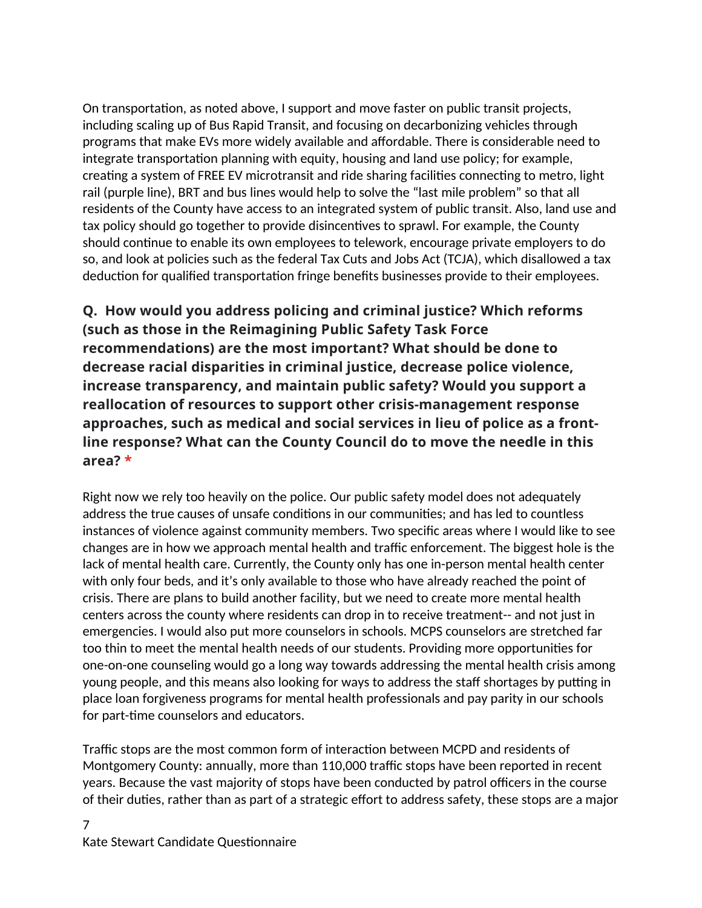On transportation, as noted above, I support and move faster on public transit projects, including scaling up of Bus Rapid Transit, and focusing on decarbonizing vehicles through programs that make EVs more widely available and affordable. There is considerable need to integrate transportation planning with equity, housing and land use policy; for example, creating a system of FREE EV microtransit and ride sharing facilities connecting to metro, light rail (purple line), BRT and bus lines would help to solve the "last mile problem" so that all residents of the County have access to an integrated system of public transit. Also, land use and tax policy should go together to provide disincentives to sprawl. For example, the County should continue to enable its own employees to telework, encourage private employers to do so, and look at policies such as the federal Tax Cuts and Jobs Act (TCJA), which disallowed a tax deduction for qualified transportation fringe benefits businesses provide to their employees.

**Q. How would you address policing and criminal justice? Which reforms (such as those in the Reimagining Public Safety Task Force recommendations) are the most important? What should be done to decrease racial disparities in criminal justice, decrease police violence, increase transparency, and maintain public safety? Would you support a reallocation of resources to support other crisis-management response approaches, such as medical and social services in lieu of police as a frontline response? What can the County Council do to move the needle in this area? \***

Right now we rely too heavily on the police. Our public safety model does not adequately address the true causes of unsafe conditions in our communities; and has led to countless instances of violence against community members. Two specific areas where I would like to see changes are in how we approach mental health and traffic enforcement. The biggest hole is the lack of mental health care. Currently, the County only has one in-person mental health center with only four beds, and it's only available to those who have already reached the point of crisis. There are plans to build another facility, but we need to create more mental health centers across the county where residents can drop in to receive treatment-- and not just in emergencies. I would also put more counselors in schools. MCPS counselors are stretched far too thin to meet the mental health needs of our students. Providing more opportunities for one-on-one counseling would go a long way towards addressing the mental health crisis among young people, and this means also looking for ways to address the staff shortages by putting in place loan forgiveness programs for mental health professionals and pay parity in our schools for part-time counselors and educators.

Traffic stops are the most common form of interaction between MCPD and residents of Montgomery County: annually, more than 110,000 traffic stops have been reported in recent years. Because the vast majority of stops have been conducted by patrol officers in the course of their duties, rather than as part of a strategic effort to address safety, these stops are a major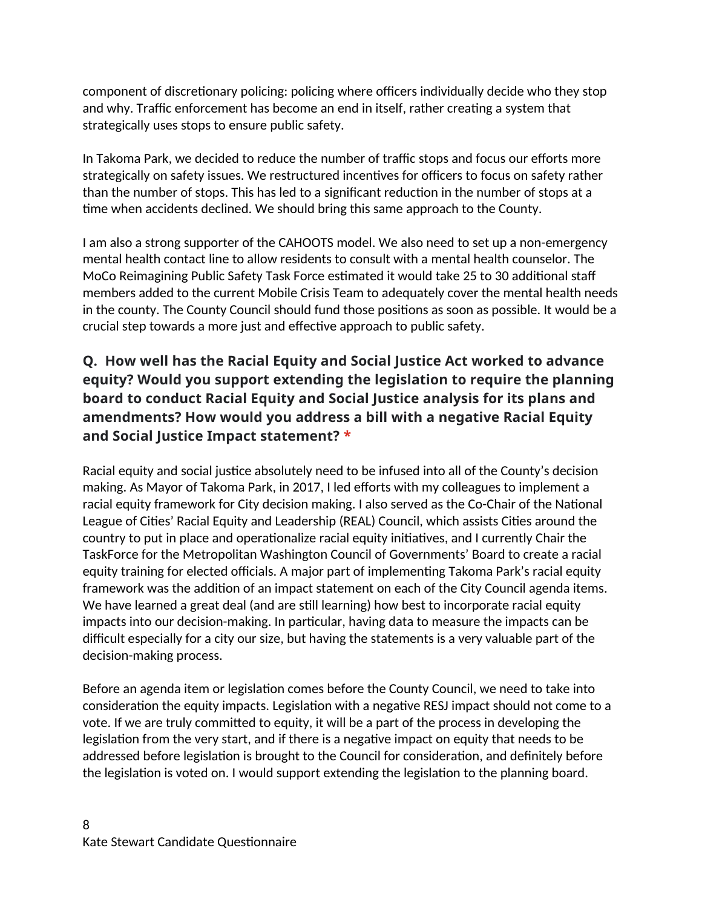component of discretionary policing: policing where officers individually decide who they stop and why. Traffic enforcement has become an end in itself, rather creating a system that strategically uses stops to ensure public safety.

In Takoma Park, we decided to reduce the number of traffic stops and focus our efforts more strategically on safety issues. We restructured incentives for officers to focus on safety rather than the number of stops. This has led to a significant reduction in the number of stops at a time when accidents declined. We should bring this same approach to the County.

I am also a strong supporter of the CAHOOTS model. We also need to set up a non-emergency mental health contact line to allow residents to consult with a mental health counselor. The MoCo Reimagining Public Safety Task Force estimated it would take 25 to 30 additional staff members added to the current Mobile Crisis Team to adequately cover the mental health needs in the county. The County Council should fund those positions as soon as possible. It would be a crucial step towards a more just and effective approach to public safety.

#### **Q. How well has the Racial Equity and Social Justice Act worked to advance equity? Would you support extending the legislation to require the planning board to conduct Racial Equity and Social Justice analysis for its plans and amendments? How would you address a bill with a negative Racial Equity and Social Justice Impact statement? \***

Racial equity and social justice absolutely need to be infused into all of the County's decision making. As Mayor of Takoma Park, in 2017, I led efforts with my colleagues to implement a racial equity framework for City decision making. I also served as the Co-Chair of the National League of Cities' Racial Equity and Leadership (REAL) Council, which assists Cities around the country to put in place and operationalize racial equity initiatives, and I currently Chair the TaskForce for the Metropolitan Washington Council of Governments' Board to create a racial equity training for elected officials. A major part of implementing Takoma Park's racial equity framework was the addition of an impact statement on each of the City Council agenda items. We have learned a great deal (and are still learning) how best to incorporate racial equity impacts into our decision-making. In particular, having data to measure the impacts can be difficult especially for a city our size, but having the statements is a very valuable part of the decision-making process.

Before an agenda item or legislation comes before the County Council, we need to take into consideration the equity impacts. Legislation with a negative RESJ impact should not come to a vote. If we are truly committed to equity, it will be a part of the process in developing the legislation from the very start, and if there is a negative impact on equity that needs to be addressed before legislation is brought to the Council for consideration, and definitely before the legislation is voted on. I would support extending the legislation to the planning board.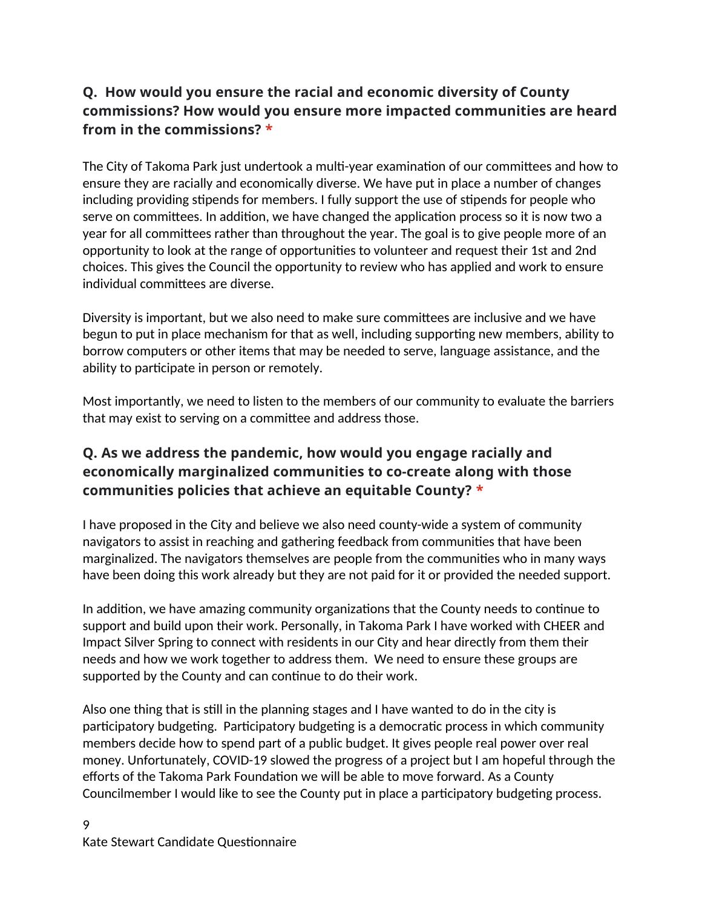## **Q. How would you ensure the racial and economic diversity of County commissions? How would you ensure more impacted communities are heard from in the commissions? \***

The City of Takoma Park just undertook a multi-year examination of our committees and how to ensure they are racially and economically diverse. We have put in place a number of changes including providing stipends for members. I fully support the use of stipends for people who serve on committees. In addition, we have changed the application process so it is now two a year for all committees rather than throughout the year. The goal is to give people more of an opportunity to look at the range of opportunities to volunteer and request their 1st and 2nd choices. This gives the Council the opportunity to review who has applied and work to ensure individual committees are diverse.

Diversity is important, but we also need to make sure committees are inclusive and we have begun to put in place mechanism for that as well, including supporting new members, ability to borrow computers or other items that may be needed to serve, language assistance, and the ability to participate in person or remotely.

Most importantly, we need to listen to the members of our community to evaluate the barriers that may exist to serving on a committee and address those.

# **Q. As we address the pandemic, how would you engage racially and economically marginalized communities to co-create along with those communities policies that achieve an equitable County? \***

I have proposed in the City and believe we also need county-wide a system of community navigators to assist in reaching and gathering feedback from communities that have been marginalized. The navigators themselves are people from the communities who in many ways have been doing this work already but they are not paid for it or provided the needed support.

In addition, we have amazing community organizations that the County needs to continue to support and build upon their work. Personally, in Takoma Park I have worked with CHEER and Impact Silver Spring to connect with residents in our City and hear directly from them their needs and how we work together to address them. We need to ensure these groups are supported by the County and can continue to do their work.

Also one thing that is still in the planning stages and I have wanted to do in the city is participatory budgeting. Participatory budgeting is a democratic process in which community members decide how to spend part of a public budget. It gives people real power over real money. Unfortunately, COVID-19 slowed the progress of a project but I am hopeful through the efforts of the Takoma Park Foundation we will be able to move forward. As a County Councilmember I would like to see the County put in place a participatory budgeting process.

#### 9 Kate Stewart Candidate Questionnaire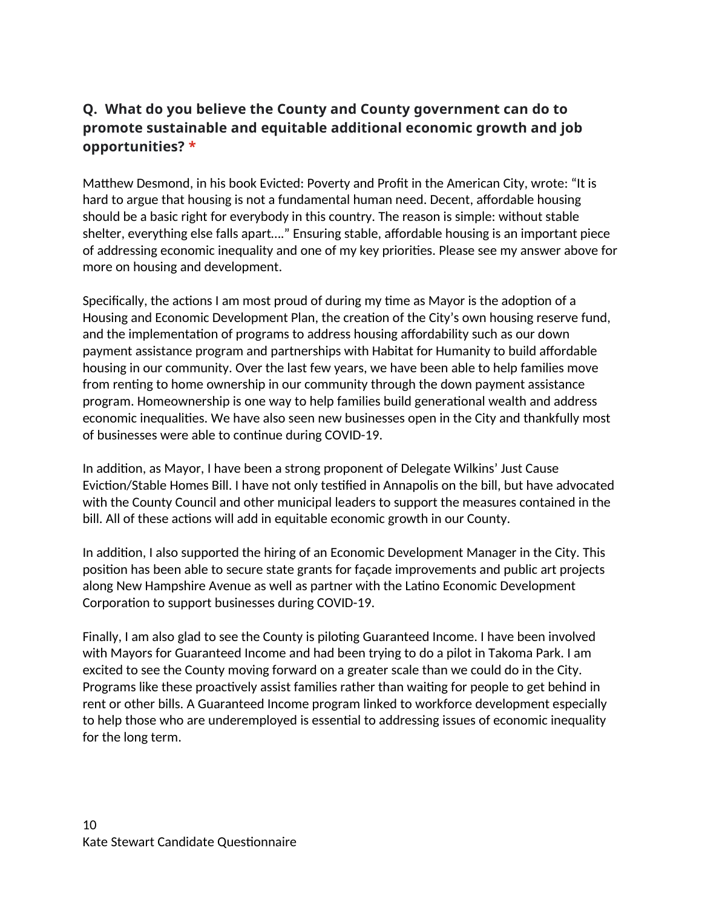## **Q. What do you believe the County and County government can do to promote sustainable and equitable additional economic growth and job opportunities? \***

Matthew Desmond, in his book Evicted: Poverty and Profit in the American City, wrote: "It is hard to argue that housing is not a fundamental human need. Decent, affordable housing should be a basic right for everybody in this country. The reason is simple: without stable shelter, everything else falls apart…." Ensuring stable, affordable housing is an important piece of addressing economic inequality and one of my key priorities. Please see my answer above for more on housing and development.

Specifically, the actions I am most proud of during my time as Mayor is the adoption of a Housing and Economic Development Plan, the creation of the City's own housing reserve fund, and the implementation of programs to address housing affordability such as our down payment assistance program and partnerships with Habitat for Humanity to build affordable housing in our community. Over the last few years, we have been able to help families move from renting to home ownership in our community through the down payment assistance program. Homeownership is one way to help families build generational wealth and address economic inequalities. We have also seen new businesses open in the City and thankfully most of businesses were able to continue during COVID-19.

In addition, as Mayor, I have been a strong proponent of Delegate Wilkins' Just Cause Eviction/Stable Homes Bill. I have not only testified in Annapolis on the bill, but have advocated with the County Council and other municipal leaders to support the measures contained in the bill. All of these actions will add in equitable economic growth in our County.

In addition, I also supported the hiring of an Economic Development Manager in the City. This position has been able to secure state grants for façade improvements and public art projects along New Hampshire Avenue as well as partner with the Latino Economic Development Corporation to support businesses during COVID-19.

Finally, I am also glad to see the County is piloting Guaranteed Income. I have been involved with Mayors for Guaranteed Income and had been trying to do a pilot in Takoma Park. I am excited to see the County moving forward on a greater scale than we could do in the City. Programs like these proactively assist families rather than waiting for people to get behind in rent or other bills. A Guaranteed Income program linked to workforce development especially to help those who are underemployed is essential to addressing issues of economic inequality for the long term.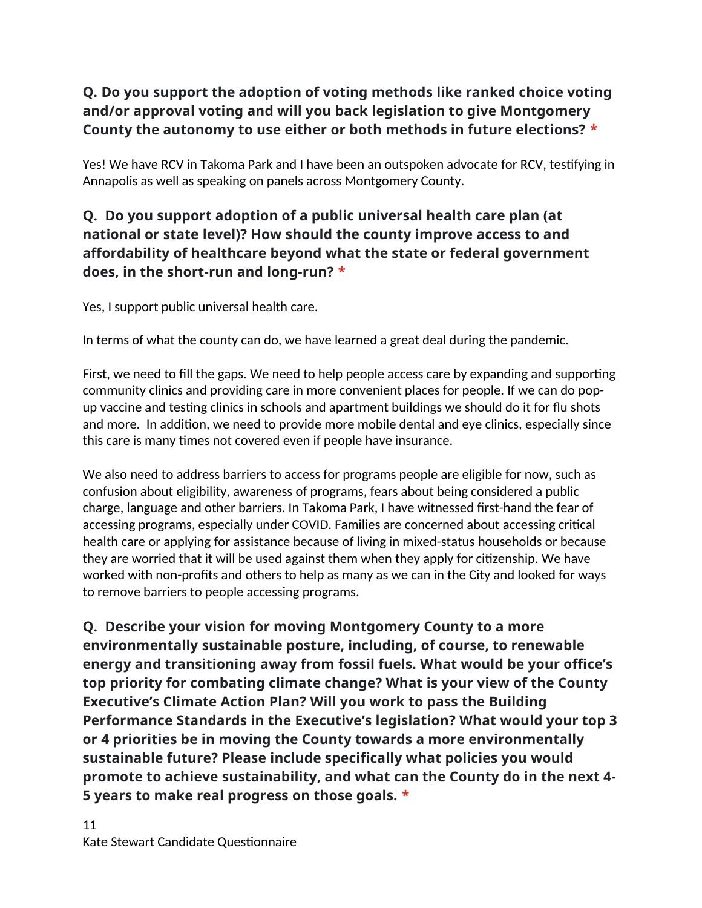# **Q. Do you support the adoption of voting methods like ranked choice voting and/or approval voting and will you back legislation to give Montgomery County the autonomy to use either or both methods in future elections? \***

Yes! We have RCV in Takoma Park and I have been an outspoken advocate for RCV, testifying in Annapolis as well as speaking on panels across Montgomery County.

## **Q. Do you support adoption of a public universal health care plan (at national or state level)? How should the county improve access to and affordability of healthcare beyond what the state or federal government does, in the short-run and long-run? \***

Yes, I support public universal health care.

In terms of what the county can do, we have learned a great deal during the pandemic.

First, we need to fill the gaps. We need to help people access care by expanding and supporting community clinics and providing care in more convenient places for people. If we can do popup vaccine and testing clinics in schools and apartment buildings we should do it for flu shots and more. In addition, we need to provide more mobile dental and eye clinics, especially since this care is many times not covered even if people have insurance.

We also need to address barriers to access for programs people are eligible for now, such as confusion about eligibility, awareness of programs, fears about being considered a public charge, language and other barriers. In Takoma Park, I have witnessed first-hand the fear of accessing programs, especially under COVID. Families are concerned about accessing critical health care or applying for assistance because of living in mixed-status households or because they are worried that it will be used against them when they apply for citizenship. We have worked with non-profits and others to help as many as we can in the City and looked for ways to remove barriers to people accessing programs.

**Q. Describe your vision for moving Montgomery County to a more environmentally sustainable posture, including, of course, to renewable energy and transitioning away from fossil fuels. What would be your office's top priority for combating climate change? What is your view of the County Executive's Climate Action Plan? Will you work to pass the Building Performance Standards in the Executive's legislation? What would your top 3 or 4 priorities be in moving the County towards a more environmentally sustainable future? Please include specifically what policies you would promote to achieve sustainability, and what can the County do in the next 4- 5 years to make real progress on those goals. \***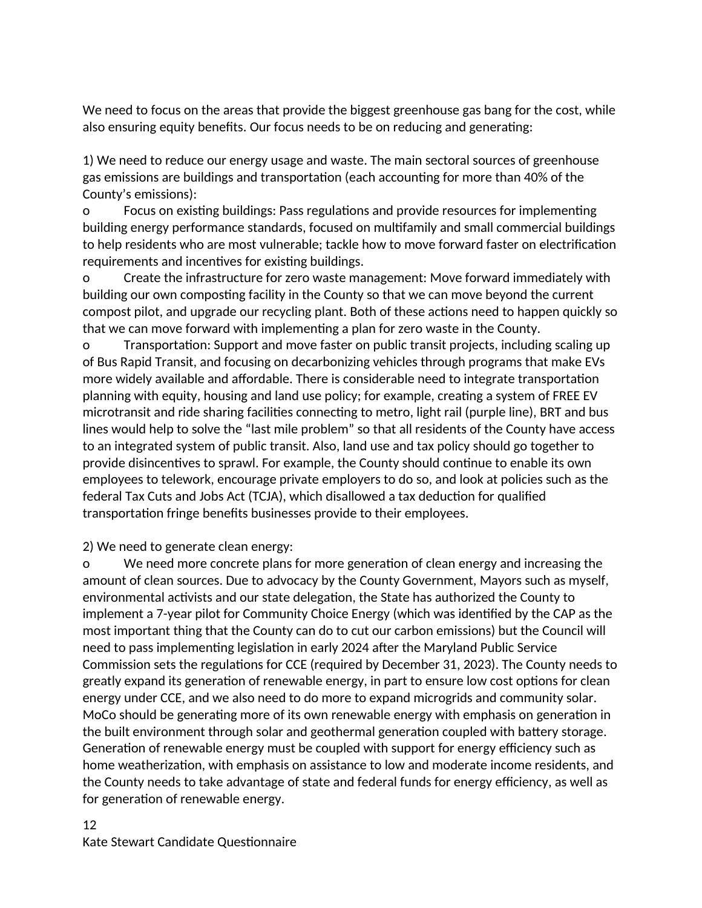We need to focus on the areas that provide the biggest greenhouse gas bang for the cost, while also ensuring equity benefits. Our focus needs to be on reducing and generating:

1) We need to reduce our energy usage and waste. The main sectoral sources of greenhouse gas emissions are buildings and transportation (each accounting for more than 40% of the County's emissions):

o Focus on existing buildings: Pass regulations and provide resources for implementing building energy performance standards, focused on multifamily and small commercial buildings to help residents who are most vulnerable; tackle how to move forward faster on electrification requirements and incentives for existing buildings.

o Create the infrastructure for zero waste management: Move forward immediately with building our own composting facility in the County so that we can move beyond the current compost pilot, and upgrade our recycling plant. Both of these actions need to happen quickly so that we can move forward with implementing a plan for zero waste in the County.

o Transportation: Support and move faster on public transit projects, including scaling up of Bus Rapid Transit, and focusing on decarbonizing vehicles through programs that make EVs more widely available and affordable. There is considerable need to integrate transportation planning with equity, housing and land use policy; for example, creating a system of FREE EV microtransit and ride sharing facilities connecting to metro, light rail (purple line), BRT and bus lines would help to solve the "last mile problem" so that all residents of the County have access to an integrated system of public transit. Also, land use and tax policy should go together to provide disincentives to sprawl. For example, the County should continue to enable its own employees to telework, encourage private employers to do so, and look at policies such as the federal Tax Cuts and Jobs Act (TCJA), which disallowed a tax deduction for qualified transportation fringe benefits businesses provide to their employees.

2) We need to generate clean energy:

o We need more concrete plans for more generation of clean energy and increasing the amount of clean sources. Due to advocacy by the County Government, Mayors such as myself, environmental activists and our state delegation, the State has authorized the County to implement a 7-year pilot for Community Choice Energy (which was identified by the CAP as the most important thing that the County can do to cut our carbon emissions) but the Council will need to pass implementing legislation in early 2024 after the Maryland Public Service Commission sets the regulations for CCE (required by December 31, 2023). The County needs to greatly expand its generation of renewable energy, in part to ensure low cost options for clean energy under CCE, and we also need to do more to expand microgrids and community solar. MoCo should be generating more of its own renewable energy with emphasis on generation in the built environment through solar and geothermal generation coupled with battery storage. Generation of renewable energy must be coupled with support for energy efficiency such as home weatherization, with emphasis on assistance to low and moderate income residents, and the County needs to take advantage of state and federal funds for energy efficiency, as well as for generation of renewable energy.

#### 12 Kate Stewart Candidate Questionnaire